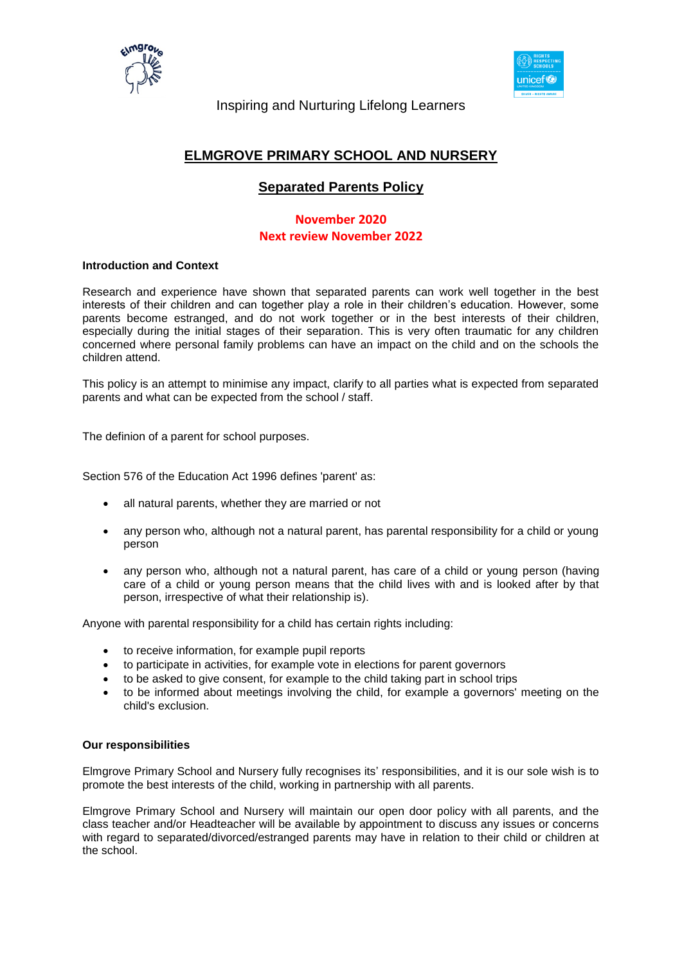



Inspiring and Nurturing Lifelong Learners

# **ELMGROVE PRIMARY SCHOOL AND NURSERY**

# **Separated Parents Policy**

## **November 2020 Next review November 2022**

#### **Introduction and Context**

Research and experience have shown that separated parents can work well together in the best interests of their children and can together play a role in their children's education. However, some parents become estranged, and do not work together or in the best interests of their children, especially during the initial stages of their separation. This is very often traumatic for any children concerned where personal family problems can have an impact on the child and on the schools the children attend.

This policy is an attempt to minimise any impact, clarify to all parties what is expected from separated parents and what can be expected from the school / staff.

The definion of a parent for school purposes.

Section 576 of the Education Act 1996 defines 'parent' as:

- all natural parents, whether they are married or not
- any person who, although not a natural parent, has parental responsibility for a child or young person
- any person who, although not a natural parent, has care of a child or young person (having care of a child or young person means that the child lives with and is looked after by that person, irrespective of what their relationship is).

Anyone with parental responsibility for a child has certain rights including:

- to receive information, for example pupil reports
- to participate in activities, for example vote in elections for parent governors
- to be asked to give consent, for example to the child taking part in school trips
- to be informed about meetings involving the child, for example a governors' meeting on the child's exclusion.

#### **Our responsibilities**

Elmgrove Primary School and Nursery fully recognises its' responsibilities, and it is our sole wish is to promote the best interests of the child, working in partnership with all parents.

Elmgrove Primary School and Nursery will maintain our open door policy with all parents, and the class teacher and/or Headteacher will be available by appointment to discuss any issues or concerns with regard to separated/divorced/estranged parents may have in relation to their child or children at the school.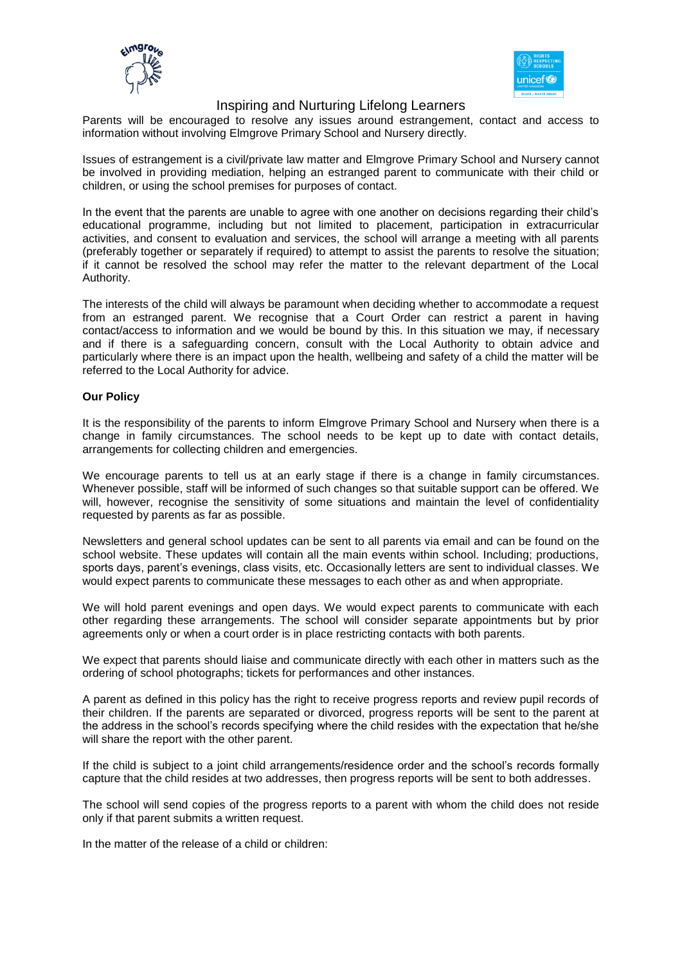



### Inspiring and Nurturing Lifelong Learners

Parents will be encouraged to resolve any issues around estrangement, contact and access to information without involving Elmgrove Primary School and Nursery directly.

Issues of estrangement is a civil/private law matter and Elmgrove Primary School and Nursery cannot be involved in providing mediation, helping an estranged parent to communicate with their child or children, or using the school premises for purposes of contact.

In the event that the parents are unable to agree with one another on decisions regarding their child's educational programme, including but not limited to placement, participation in extracurricular activities, and consent to evaluation and services, the school will arrange a meeting with all parents (preferably together or separately if required) to attempt to assist the parents to resolve the situation; if it cannot be resolved the school may refer the matter to the relevant department of the Local Authority.

The interests of the child will always be paramount when deciding whether to accommodate a request from an estranged parent. We recognise that a Court Order can restrict a parent in having contact/access to information and we would be bound by this. In this situation we may, if necessary and if there is a safeguarding concern, consult with the Local Authority to obtain advice and particularly where there is an impact upon the health, wellbeing and safety of a child the matter will be referred to the Local Authority for advice.

### **Our Policy**

It is the responsibility of the parents to inform Elmgrove Primary School and Nursery when there is a change in family circumstances. The school needs to be kept up to date with contact details, arrangements for collecting children and emergencies.

We encourage parents to tell us at an early stage if there is a change in family circumstances. Whenever possible, staff will be informed of such changes so that suitable support can be offered. We will, however, recognise the sensitivity of some situations and maintain the level of confidentiality requested by parents as far as possible.

Newsletters and general school updates can be sent to all parents via email and can be found on the school website. These updates will contain all the main events within school. Including; productions, sports days, parent's evenings, class visits, etc. Occasionally letters are sent to individual classes. We would expect parents to communicate these messages to each other as and when appropriate.

We will hold parent evenings and open days. We would expect parents to communicate with each other regarding these arrangements. The school will consider separate appointments but by prior agreements only or when a court order is in place restricting contacts with both parents.

We expect that parents should liaise and communicate directly with each other in matters such as the ordering of school photographs; tickets for performances and other instances.

A parent as defined in this policy has the right to receive progress reports and review pupil records of their children. If the parents are separated or divorced, progress reports will be sent to the parent at the address in the school's records specifying where the child resides with the expectation that he/she will share the report with the other parent.

If the child is subject to a joint child arrangements/residence order and the school's records formally capture that the child resides at two addresses, then progress reports will be sent to both addresses.

The school will send copies of the progress reports to a parent with whom the child does not reside only if that parent submits a written request.

In the matter of the release of a child or children: